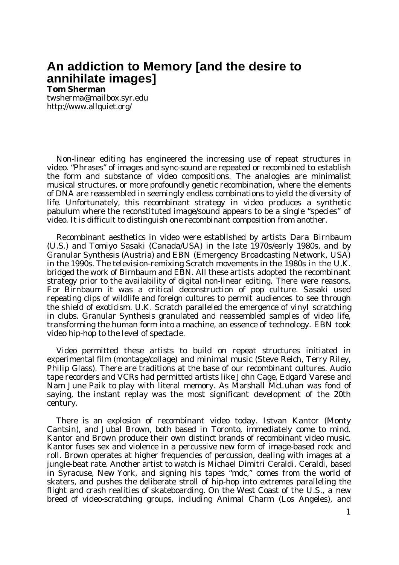## **An addiction to Memory [and the desire to annihilate images]**

## **Tom Sherman**

[twsherma@mailbox.syr.edu](mailto:twsherma@mailbox.syr.edu) <http://www.allquiet.org/>

Non-linear editing has engineered the increasing use of repeat structures in video. "Phrases" of images and sync-sound are repeated or recombined to establish the form and substance of video compositions. The analogies are minimalist musical structures, or more profoundly genetic recombination, where the elements of DNA are reassembled in seemingly endless combinations to yield the diversity of life. Unfortunately, this recombinant strategy in video produces a synthetic pabulum where the reconstituted image/sound appears to be a single "species" of video. It is difficult to distinguish one recombinant composition from another.

Recombinant aesthetics in video were established by artists Dara Birnbaum (U.S.) and Tomiyo Sasaki (Canada/USA) in the late 1970s/early 1980s, and by Granular Synthesis (Austria) and EBN (Emergency Broadcasting Network, USA) in the 1990s. The television-remixing Scratch movements in the 1980s in the U.K. bridged the work of Birnbaum and EBN. All these artists adopted the recombinant strategy prior to the availability of digital non-linear editing. There were reasons. For Birnbaum it was a critical deconstruction of pop culture. Sasaki used repeating clips of wildlife and foreign cultures to permit audiences to see through the shield of exoticism. U.K. Scratch paralleled the emergence of vinyl scratching in clubs. Granular Synthesis granulated and reassembled samples of video life, transforming the human form into a machine, an essence of technology. EBN took video hip-hop to the level of spectacle.

Video permitted these artists to build on repeat structures initiated in experimental film (montage/collage) and minimal music (Steve Reich, Terry Riley, Philip Glass). There are traditions at the base of our recombinant cultures. Audio tape recorders and VCRs had permitted artists like John Cage, Edgard Varese and Nam June Paik to play with literal memory. As Marshall McLuhan was fond of saying, the instant replay was the most significant development of the 20th century.

There is an explosion of recombinant video today. Istvan Kantor (Monty Cantsin), and Jubal Brown, both based in Toronto, immediately come to mind. Kantor and Brown produce their own distinct brands of recombinant video music. Kantor fuses sex and violence in a percussive new form of image-based rock and roll. Brown operates at higher frequencies of percussion, dealing with images at a jungle-beat rate. Another artist to watch is Michael Dimitri Ceraldi. Ceraldi, based in Syracuse, New York, and signing his tapes "mdc," comes from the world of skaters, and pushes the deliberate stroll of hip-hop into extremes paralleling the flight and crash realities of skateboarding. On the West Coast of the U.S., a new breed of video-scratching groups, including Animal Charm (Los Angeles), and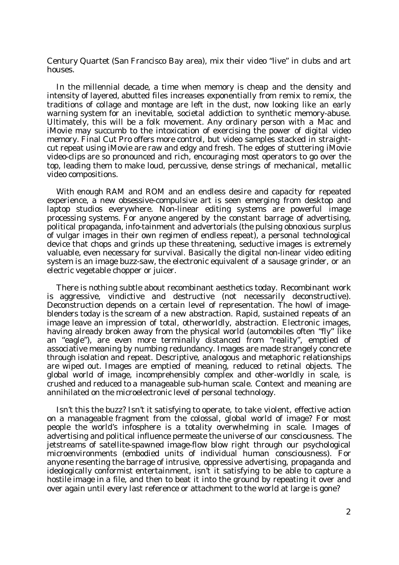Century Quartet (San Francisco Bay area), mix their video "live" in clubs and art houses.

In the millennial decade, a time when memory is cheap and the density and intensity of layered, abutted files increases exponentially from remix to remix, the traditions of collage and montage are left in the dust, now looking like an early warning system for an inevitable, societal addiction to synthetic memory-abuse. Ultimately, this will be a folk movement. Any ordinary person with a Mac and iMovie may succumb to the intoxication of exercising the power of digital video memory. Final Cut Pro offers more control, but video samples stacked in straightcut repeat using iMovie are raw and edgy and fresh. The edges of stuttering iMovie video-clips are so pronounced and rich, encouraging most operators to go over the top, leading them to make loud, percussive, dense strings of mechanical, metallic video compositions.

With enough RAM and ROM and an endless desire and capacity for repeated experience, a new obsessive-compulsive art is seen emerging from desktop and laptop studios everywhere. Non-linear editing systems are powerful image processing systems. For anyone angered by the constant barrage of advertising, political propaganda, info-tainment and advertorials (the pulsing obnoxious surplus of vulgar images in their own regimen of endless repeat), a personal technological device that chops and grinds up these threatening, seductive images is extremely valuable, even necessary for survival. Basically the digital non-linear video editing system is an image buzz-saw, the electronic equivalent of a sausage grinder, or an electric vegetable chopper or juicer.

There is nothing subtle about recombinant aesthetics today. Recombinant work is aggressive, vindictive and destructive (not necessarily deconstructive). Deconstruction depends on a certain level of representation. The howl of imageblenders today is the scream of a new abstraction. Rapid, sustained repeats of an image leave an impression of total, otherworldly, abstraction. Electronic images, having already broken away from the physical world (automobiles often "fly" like an "eagle"), are even more terminally distanced from "reality", emptied of associative meaning by numbing redundancy. Images are made strangely concrete through isolation and repeat. Descriptive, analogous and metaphoric relationships are wiped out. Images are emptied of meaning, reduced to retinal objects. The global world of image, incomprehensibly complex and other-worldly in scale, is crushed and reduced to a manageable sub-human scale. Context and meaning are annihilated on the microelectronic level of personal technology.

Isn't this the buzz? Isn't it satisfying to operate, to take violent, effective action on a manageable fragment from the colossal, global world of image? For most people the world's infosphere is a totality overwhelming in scale. Images of advertising and political influence permeate the universe of our consciousness. The jetstreams of satellite-spawned image-flow blow right through our psychological microenvironments (embodied units of individual human consciousness). For anyone resenting the barrage of intrusive, oppressive advertising, propaganda and ideologically conformist entertainment, isn't it satisfying to be able to capture a hostile image in a file, and then to beat it into the ground by repeating it over and over again until every last reference or attachment to the world at large is gone?